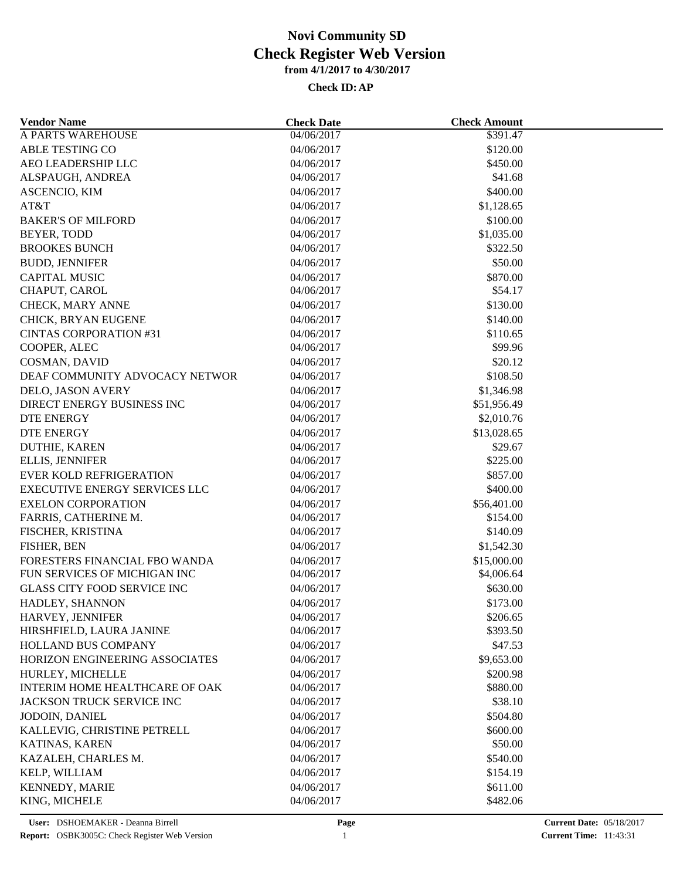| <b>Vendor Name</b>                     | <b>Check Date</b>        | <b>Check Amount</b>  |  |
|----------------------------------------|--------------------------|----------------------|--|
| <b>A PARTS WAREHOUSE</b>               | 04/06/2017               | \$391.47             |  |
| <b>ABLE TESTING CO</b>                 | 04/06/2017               | \$120.00             |  |
| AEO LEADERSHIP LLC                     | 04/06/2017               | \$450.00             |  |
| ALSPAUGH, ANDREA                       | 04/06/2017               | \$41.68              |  |
| <b>ASCENCIO, KIM</b>                   | 04/06/2017               | \$400.00             |  |
| AT&T                                   | 04/06/2017               | \$1,128.65           |  |
| <b>BAKER'S OF MILFORD</b>              | 04/06/2017               | \$100.00             |  |
| BEYER, TODD                            | 04/06/2017               | \$1,035.00           |  |
| <b>BROOKES BUNCH</b>                   | 04/06/2017               | \$322.50             |  |
| <b>BUDD, JENNIFER</b>                  | 04/06/2017               | \$50.00              |  |
| <b>CAPITAL MUSIC</b>                   | 04/06/2017               | \$870.00             |  |
| CHAPUT, CAROL                          | 04/06/2017               | \$54.17              |  |
| CHECK, MARY ANNE                       | 04/06/2017               | \$130.00             |  |
| CHICK, BRYAN EUGENE                    | 04/06/2017               | \$140.00             |  |
| <b>CINTAS CORPORATION #31</b>          | 04/06/2017               | \$110.65             |  |
| COOPER, ALEC                           | 04/06/2017               | \$99.96              |  |
| COSMAN, DAVID                          | 04/06/2017               | \$20.12              |  |
| DEAF COMMUNITY ADVOCACY NETWOR         | 04/06/2017               | \$108.50             |  |
| DELO, JASON AVERY                      | 04/06/2017               | \$1,346.98           |  |
| DIRECT ENERGY BUSINESS INC             | 04/06/2017               | \$51,956.49          |  |
| DTE ENERGY                             | 04/06/2017               | \$2,010.76           |  |
| <b>DTE ENERGY</b>                      | 04/06/2017               | \$13,028.65          |  |
| DUTHIE, KAREN                          | 04/06/2017               | \$29.67              |  |
| <b>ELLIS, JENNIFER</b>                 | 04/06/2017               | \$225.00             |  |
| <b>EVER KOLD REFRIGERATION</b>         | 04/06/2017               | \$857.00             |  |
| <b>EXECUTIVE ENERGY SERVICES LLC</b>   | 04/06/2017               | \$400.00             |  |
| <b>EXELON CORPORATION</b>              | 04/06/2017               | \$56,401.00          |  |
| FARRIS, CATHERINE M.                   | 04/06/2017               | \$154.00             |  |
| FISCHER, KRISTINA                      | 04/06/2017               | \$140.09             |  |
| FISHER, BEN                            | 04/06/2017               | \$1,542.30           |  |
| FORESTERS FINANCIAL FBO WANDA          | 04/06/2017               | \$15,000.00          |  |
| FUN SERVICES OF MICHIGAN INC           | 04/06/2017               | \$4,006.64           |  |
| <b>GLASS CITY FOOD SERVICE INC</b>     | 04/06/2017               | \$630.00             |  |
| HADLEY, SHANNON                        | 04/06/2017               | \$173.00             |  |
| HARVEY, JENNIFER                       | 04/06/2017               | \$206.65             |  |
| HIRSHFIELD, LAURA JANINE               | 04/06/2017               | \$393.50             |  |
| HOLLAND BUS COMPANY                    | 04/06/2017               | \$47.53              |  |
| HORIZON ENGINEERING ASSOCIATES         | 04/06/2017               | \$9,653.00           |  |
| HURLEY, MICHELLE                       | 04/06/2017               | \$200.98             |  |
| INTERIM HOME HEALTHCARE OF OAK         | 04/06/2017               | \$880.00             |  |
| JACKSON TRUCK SERVICE INC              | 04/06/2017               | \$38.10              |  |
| JODOIN, DANIEL                         | 04/06/2017               | \$504.80             |  |
| KALLEVIG, CHRISTINE PETRELL            | 04/06/2017               | \$600.00             |  |
| KATINAS, KAREN                         | 04/06/2017               | \$50.00              |  |
| KAZALEH, CHARLES M.                    | 04/06/2017               | \$540.00             |  |
| KELP, WILLIAM                          | 04/06/2017               | \$154.19             |  |
|                                        |                          |                      |  |
| <b>KENNEDY, MARIE</b><br>KING, MICHELE | 04/06/2017<br>04/06/2017 | \$611.00<br>\$482.06 |  |
|                                        |                          |                      |  |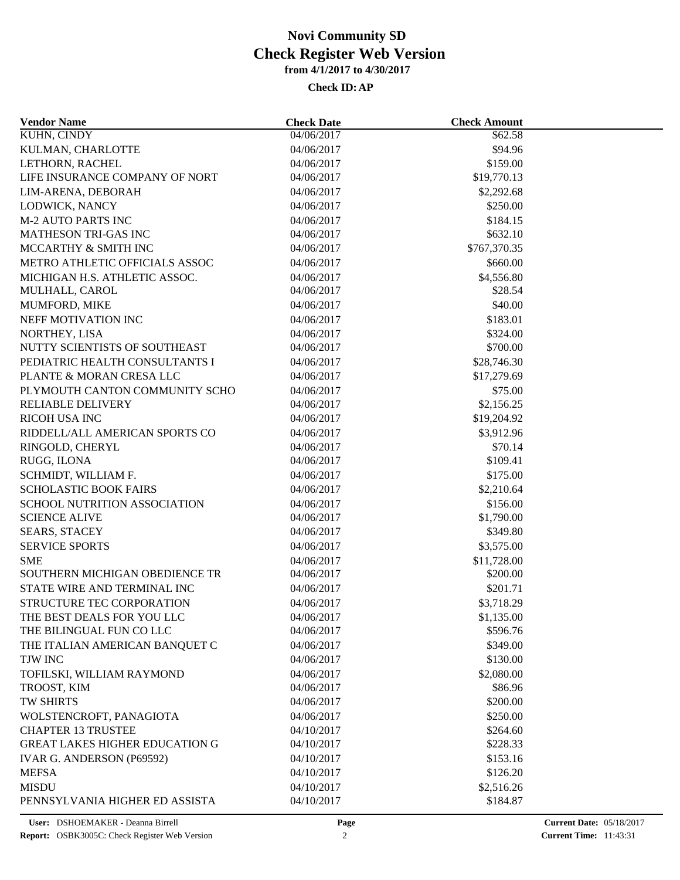| <b>Vendor Name</b>                             | <b>Check Date</b>        | <b>Check Amount</b>  |  |
|------------------------------------------------|--------------------------|----------------------|--|
| <b>KUHN, CINDY</b>                             | 04/06/2017               | \$62.58              |  |
| KULMAN, CHARLOTTE                              | 04/06/2017               | \$94.96              |  |
| LETHORN, RACHEL                                | 04/06/2017               | \$159.00             |  |
| LIFE INSURANCE COMPANY OF NORT                 | 04/06/2017               | \$19,770.13          |  |
| LIM-ARENA, DEBORAH                             | 04/06/2017               | \$2,292.68           |  |
| LODWICK, NANCY                                 | 04/06/2017               | \$250.00             |  |
| <b>M-2 AUTO PARTS INC</b>                      | 04/06/2017               | \$184.15             |  |
| MATHESON TRI-GAS INC                           | 04/06/2017               | \$632.10             |  |
| MCCARTHY & SMITH INC                           | 04/06/2017               | \$767,370.35         |  |
| METRO ATHLETIC OFFICIALS ASSOC                 | 04/06/2017               | \$660.00             |  |
| MICHIGAN H.S. ATHLETIC ASSOC.                  | 04/06/2017               | \$4,556.80           |  |
| MULHALL, CAROL                                 | 04/06/2017               | \$28.54              |  |
| MUMFORD, MIKE                                  | 04/06/2017               | \$40.00              |  |
| NEFF MOTIVATION INC                            | 04/06/2017               | \$183.01             |  |
| NORTHEY, LISA                                  | 04/06/2017               | \$324.00             |  |
| NUTTY SCIENTISTS OF SOUTHEAST                  | 04/06/2017               | \$700.00             |  |
| PEDIATRIC HEALTH CONSULTANTS I                 | 04/06/2017               | \$28,746.30          |  |
| PLANTE & MORAN CRESA LLC                       | 04/06/2017               | \$17,279.69          |  |
| PLYMOUTH CANTON COMMUNITY SCHO                 | 04/06/2017               | \$75.00              |  |
| RELIABLE DELIVERY                              | 04/06/2017               | \$2,156.25           |  |
| RICOH USA INC                                  | 04/06/2017               | \$19,204.92          |  |
| RIDDELL/ALL AMERICAN SPORTS CO                 | 04/06/2017               | \$3,912.96           |  |
| RINGOLD, CHERYL                                | 04/06/2017               | \$70.14              |  |
| RUGG, ILONA                                    | 04/06/2017               | \$109.41             |  |
| SCHMIDT, WILLIAM F.                            | 04/06/2017               | \$175.00             |  |
| <b>SCHOLASTIC BOOK FAIRS</b>                   | 04/06/2017               | \$2,210.64           |  |
| SCHOOL NUTRITION ASSOCIATION                   | 04/06/2017               | \$156.00             |  |
| <b>SCIENCE ALIVE</b>                           | 04/06/2017               | \$1,790.00           |  |
| <b>SEARS, STACEY</b>                           | 04/06/2017               | \$349.80             |  |
| <b>SERVICE SPORTS</b>                          | 04/06/2017               | \$3,575.00           |  |
| <b>SME</b>                                     | 04/06/2017               | \$11,728.00          |  |
| SOUTHERN MICHIGAN OBEDIENCE TR                 | 04/06/2017               | \$200.00             |  |
| STATE WIRE AND TERMINAL INC                    | 04/06/2017               | \$201.71             |  |
| STRUCTURE TEC CORPORATION                      | 04/06/2017               | \$3,718.29           |  |
| THE BEST DEALS FOR YOU LLC                     | 04/06/2017               | \$1,135.00           |  |
| THE BILINGUAL FUN CO LLC                       | 04/06/2017               | \$596.76             |  |
| THE ITALIAN AMERICAN BANQUET C                 | 04/06/2017               | \$349.00             |  |
| TJW INC                                        | 04/06/2017               | \$130.00             |  |
| TOFILSKI, WILLIAM RAYMOND                      | 04/06/2017               | \$2,080.00           |  |
| TROOST, KIM                                    | 04/06/2017               | \$86.96              |  |
| <b>TW SHIRTS</b>                               | 04/06/2017               | \$200.00             |  |
| WOLSTENCROFT, PANAGIOTA                        | 04/06/2017               | \$250.00             |  |
| <b>CHAPTER 13 TRUSTEE</b>                      |                          |                      |  |
| <b>GREAT LAKES HIGHER EDUCATION G</b>          | 04/10/2017<br>04/10/2017 | \$264.60<br>\$228.33 |  |
| IVAR G. ANDERSON (P69592)                      | 04/10/2017               | \$153.16             |  |
|                                                |                          |                      |  |
| <b>MEFSA</b>                                   | 04/10/2017               | \$126.20             |  |
| <b>MISDU</b><br>PENNSYLVANIA HIGHER ED ASSISTA | 04/10/2017               | \$2,516.26           |  |
|                                                | 04/10/2017               | \$184.87             |  |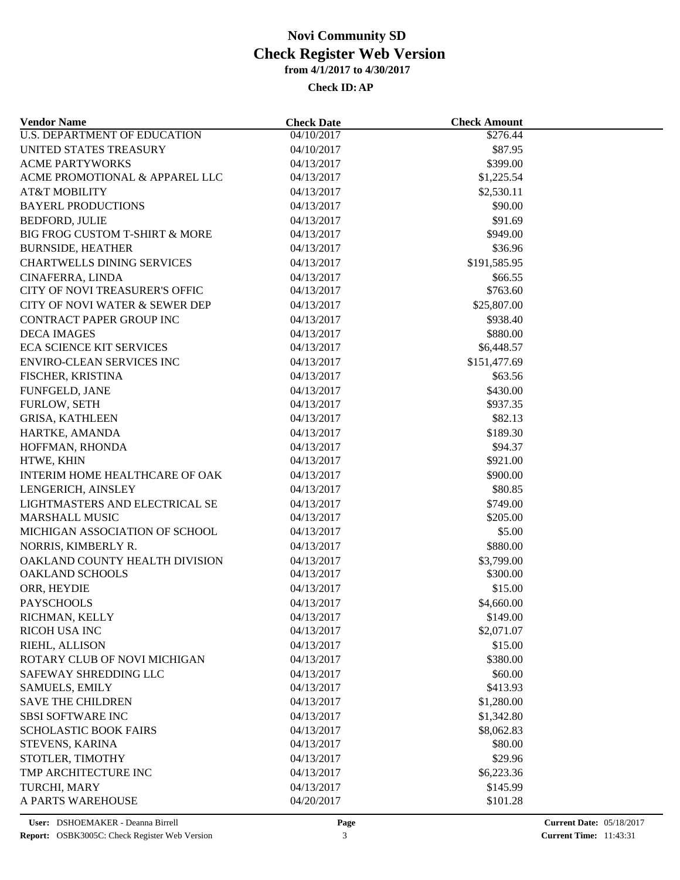| <b>Vendor Name</b>                             | <b>Check Date</b>        | <b>Check Amount</b> |  |
|------------------------------------------------|--------------------------|---------------------|--|
| <b>U.S. DEPARTMENT OF EDUCATION</b>            | 04/10/2017               | \$276.44            |  |
| UNITED STATES TREASURY                         | 04/10/2017               | \$87.95             |  |
| <b>ACME PARTYWORKS</b>                         | 04/13/2017               | \$399.00            |  |
| ACME PROMOTIONAL & APPAREL LLC                 | 04/13/2017               | \$1,225.54          |  |
| <b>AT&amp;T MOBILITY</b>                       | 04/13/2017               | \$2,530.11          |  |
| <b>BAYERL PRODUCTIONS</b>                      | 04/13/2017               | \$90.00             |  |
| <b>BEDFORD, JULIE</b>                          | 04/13/2017               | \$91.69             |  |
| <b>BIG FROG CUSTOM T-SHIRT &amp; MORE</b>      | 04/13/2017               | \$949.00            |  |
| <b>BURNSIDE, HEATHER</b>                       | 04/13/2017               | \$36.96             |  |
| <b>CHARTWELLS DINING SERVICES</b>              | 04/13/2017               | \$191,585.95        |  |
| CINAFERRA, LINDA                               | 04/13/2017               | \$66.55             |  |
| CITY OF NOVI TREASURER'S OFFIC                 | 04/13/2017               | \$763.60            |  |
| CITY OF NOVI WATER & SEWER DEP                 | 04/13/2017               | \$25,807.00         |  |
| CONTRACT PAPER GROUP INC                       | 04/13/2017               | \$938.40            |  |
| <b>DECA IMAGES</b>                             | 04/13/2017               | \$880.00            |  |
| <b>ECA SCIENCE KIT SERVICES</b>                | 04/13/2017               | \$6,448.57          |  |
| <b>ENVIRO-CLEAN SERVICES INC</b>               | 04/13/2017               | \$151,477.69        |  |
| FISCHER, KRISTINA                              | 04/13/2017               | \$63.56             |  |
| FUNFGELD, JANE                                 | 04/13/2017               | \$430.00            |  |
| FURLOW, SETH                                   | 04/13/2017               | \$937.35            |  |
| <b>GRISA, KATHLEEN</b>                         | 04/13/2017               | \$82.13             |  |
| HARTKE, AMANDA                                 | 04/13/2017               | \$189.30            |  |
| HOFFMAN, RHONDA                                | 04/13/2017               | \$94.37             |  |
| HTWE, KHIN                                     | 04/13/2017               | \$921.00            |  |
| INTERIM HOME HEALTHCARE OF OAK                 | 04/13/2017               | \$900.00            |  |
| LENGERICH, AINSLEY                             | 04/13/2017               | \$80.85             |  |
| LIGHTMASTERS AND ELECTRICAL SE                 | 04/13/2017               | \$749.00            |  |
| <b>MARSHALL MUSIC</b>                          | 04/13/2017               | \$205.00            |  |
| MICHIGAN ASSOCIATION OF SCHOOL                 | 04/13/2017               | \$5.00              |  |
| NORRIS, KIMBERLY R.                            | 04/13/2017               | \$880.00            |  |
| OAKLAND COUNTY HEALTH DIVISION                 | 04/13/2017               | \$3,799.00          |  |
| OAKLAND SCHOOLS                                | 04/13/2017               | \$300.00            |  |
| ORR, HEYDIE                                    | 04/13/2017               | \$15.00             |  |
| <b>PAYSCHOOLS</b>                              | 04/13/2017               | \$4,660.00          |  |
| RICHMAN, KELLY                                 | 04/13/2017               | \$149.00            |  |
| RICOH USA INC                                  | 04/13/2017               | \$2,071.07          |  |
| RIEHL, ALLISON                                 | 04/13/2017               | \$15.00             |  |
| ROTARY CLUB OF NOVI MICHIGAN                   | 04/13/2017               | \$380.00            |  |
|                                                |                          |                     |  |
| SAFEWAY SHREDDING LLC<br><b>SAMUELS, EMILY</b> | 04/13/2017<br>04/13/2017 | \$60.00<br>\$413.93 |  |
| <b>SAVE THE CHILDREN</b>                       | 04/13/2017               |                     |  |
|                                                |                          | \$1,280.00          |  |
| <b>SBSI SOFTWARE INC</b>                       | 04/13/2017               | \$1,342.80          |  |
| <b>SCHOLASTIC BOOK FAIRS</b>                   | 04/13/2017               | \$8,062.83          |  |
| STEVENS, KARINA                                | 04/13/2017               | \$80.00             |  |
| STOTLER, TIMOTHY                               | 04/13/2017               | \$29.96             |  |
| TMP ARCHITECTURE INC                           | 04/13/2017               | \$6,223.36          |  |
| TURCHI, MARY                                   | 04/13/2017               | \$145.99            |  |
| A PARTS WAREHOUSE                              | 04/20/2017               | \$101.28            |  |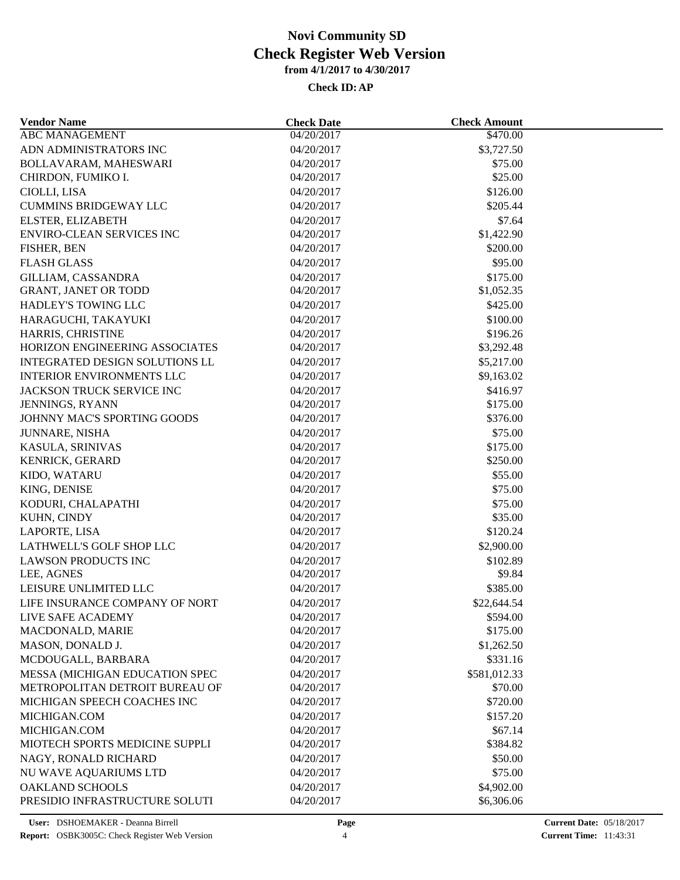| <b>Vendor Name</b>                    | <b>Check Date</b>        | <b>Check Amount</b> |  |
|---------------------------------------|--------------------------|---------------------|--|
| ABC MANAGEMENT                        | 04/20/2017               | \$470.00            |  |
| ADN ADMINISTRATORS INC                | 04/20/2017               | \$3,727.50          |  |
| BOLLAVARAM, MAHESWARI                 | 04/20/2017               | \$75.00             |  |
| CHIRDON, FUMIKO I.                    | 04/20/2017               | \$25.00             |  |
| CIOLLI, LISA                          | 04/20/2017               | \$126.00            |  |
| <b>CUMMINS BRIDGEWAY LLC</b>          | 04/20/2017               | \$205.44            |  |
| ELSTER, ELIZABETH                     | 04/20/2017               | \$7.64              |  |
| <b>ENVIRO-CLEAN SERVICES INC</b>      | 04/20/2017               | \$1,422.90          |  |
| FISHER, BEN                           | 04/20/2017               | \$200.00            |  |
| <b>FLASH GLASS</b>                    | 04/20/2017               | \$95.00             |  |
| GILLIAM, CASSANDRA                    | 04/20/2017               | \$175.00            |  |
| <b>GRANT, JANET OR TODD</b>           | 04/20/2017               | \$1,052.35          |  |
| HADLEY'S TOWING LLC                   | 04/20/2017               | \$425.00            |  |
| HARAGUCHI, TAKAYUKI                   | 04/20/2017               | \$100.00            |  |
| HARRIS, CHRISTINE                     | 04/20/2017               | \$196.26            |  |
| HORIZON ENGINEERING ASSOCIATES        | 04/20/2017               | \$3,292.48          |  |
| <b>INTEGRATED DESIGN SOLUTIONS LL</b> | 04/20/2017               | \$5,217.00          |  |
| <b>INTERIOR ENVIRONMENTS LLC</b>      | 04/20/2017               | \$9,163.02          |  |
| JACKSON TRUCK SERVICE INC             | 04/20/2017               | \$416.97            |  |
| JENNINGS, RYANN                       | 04/20/2017               | \$175.00            |  |
| JOHNNY MAC'S SPORTING GOODS           | 04/20/2017               | \$376.00            |  |
| <b>JUNNARE, NISHA</b>                 | 04/20/2017               | \$75.00             |  |
| KASULA, SRINIVAS                      | 04/20/2017               | \$175.00            |  |
| KENRICK, GERARD                       | 04/20/2017               | \$250.00            |  |
| KIDO, WATARU                          | 04/20/2017               | \$55.00             |  |
| KING, DENISE                          | 04/20/2017               | \$75.00             |  |
|                                       |                          | \$75.00             |  |
| KODURI, CHALAPATHI                    | 04/20/2017<br>04/20/2017 | \$35.00             |  |
| KUHN, CINDY                           |                          |                     |  |
| LAPORTE, LISA                         | 04/20/2017<br>04/20/2017 | \$120.24            |  |
| LATHWELL'S GOLF SHOP LLC              |                          | \$2,900.00          |  |
| <b>LAWSON PRODUCTS INC</b>            | 04/20/2017               | \$102.89            |  |
| LEE, AGNES                            | 04/20/2017               | \$9.84              |  |
| LEISURE UNLIMITED LLC                 | 04/20/2017               | \$385.00            |  |
| LIFE INSURANCE COMPANY OF NORT        | 04/20/2017               | \$22,644.54         |  |
| LIVE SAFE ACADEMY                     | 04/20/2017               | \$594.00            |  |
| MACDONALD, MARIE                      | 04/20/2017               | \$175.00            |  |
| MASON, DONALD J.                      | 04/20/2017               | \$1,262.50          |  |
| MCDOUGALL, BARBARA                    | 04/20/2017               | \$331.16            |  |
| MESSA (MICHIGAN EDUCATION SPEC        | 04/20/2017               | \$581,012.33        |  |
| METROPOLITAN DETROIT BUREAU OF        | 04/20/2017               | \$70.00             |  |
| MICHIGAN SPEECH COACHES INC           | 04/20/2017               | \$720.00            |  |
| MICHIGAN.COM                          | 04/20/2017               | \$157.20            |  |
| MICHIGAN.COM                          | 04/20/2017               | \$67.14             |  |
| MIOTECH SPORTS MEDICINE SUPPLI        | 04/20/2017               | \$384.82            |  |
| NAGY, RONALD RICHARD                  | 04/20/2017               | \$50.00             |  |
| NU WAVE AQUARIUMS LTD                 | 04/20/2017               | \$75.00             |  |
| <b>OAKLAND SCHOOLS</b>                | 04/20/2017               | \$4,902.00          |  |
| PRESIDIO INFRASTRUCTURE SOLUTI        | 04/20/2017               | \$6,306.06          |  |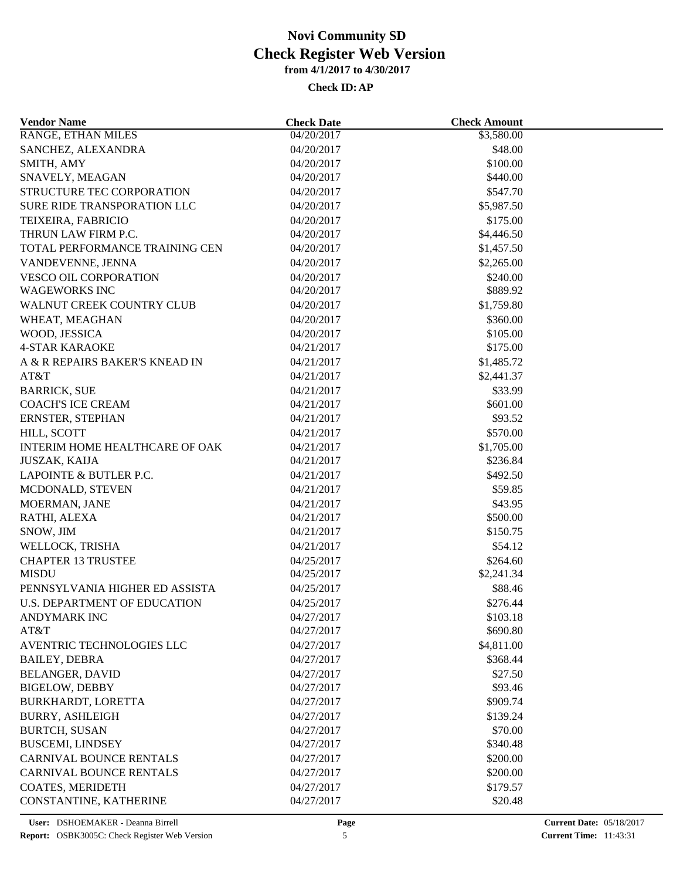| <b>Vendor Name</b>                  | <b>Check Date</b> | <b>Check Amount</b> |  |
|-------------------------------------|-------------------|---------------------|--|
| RANGE, ETHAN MILES                  | 04/20/2017        | \$3,580.00          |  |
| SANCHEZ, ALEXANDRA                  | 04/20/2017        | \$48.00             |  |
| SMITH, AMY                          | 04/20/2017        | \$100.00            |  |
| SNAVELY, MEAGAN                     | 04/20/2017        | \$440.00            |  |
| STRUCTURE TEC CORPORATION           | 04/20/2017        | \$547.70            |  |
| SURE RIDE TRANSPORATION LLC         | 04/20/2017        | \$5,987.50          |  |
| TEIXEIRA, FABRICIO                  | 04/20/2017        | \$175.00            |  |
| THRUN LAW FIRM P.C.                 | 04/20/2017        | \$4,446.50          |  |
| TOTAL PERFORMANCE TRAINING CEN      | 04/20/2017        | \$1,457.50          |  |
| VANDEVENNE, JENNA                   | 04/20/2017        | \$2,265.00          |  |
| <b>VESCO OIL CORPORATION</b>        | 04/20/2017        | \$240.00            |  |
| <b>WAGEWORKS INC</b>                | 04/20/2017        | \$889.92            |  |
| WALNUT CREEK COUNTRY CLUB           | 04/20/2017        | \$1,759.80          |  |
| WHEAT, MEAGHAN                      | 04/20/2017        | \$360.00            |  |
| WOOD, JESSICA                       | 04/20/2017        | \$105.00            |  |
| <b>4-STAR KARAOKE</b>               | 04/21/2017        | \$175.00            |  |
| A & R REPAIRS BAKER'S KNEAD IN      | 04/21/2017        | \$1,485.72          |  |
| AT&T                                | 04/21/2017        | \$2,441.37          |  |
| <b>BARRICK, SUE</b>                 | 04/21/2017        | \$33.99             |  |
| <b>COACH'S ICE CREAM</b>            | 04/21/2017        | \$601.00            |  |
| ERNSTER, STEPHAN                    | 04/21/2017        | \$93.52             |  |
| HILL, SCOTT                         | 04/21/2017        | \$570.00            |  |
| INTERIM HOME HEALTHCARE OF OAK      | 04/21/2017        | \$1,705.00          |  |
| <b>JUSZAK, KAIJA</b>                | 04/21/2017        | \$236.84            |  |
| LAPOINTE & BUTLER P.C.              | 04/21/2017        | \$492.50            |  |
| MCDONALD, STEVEN                    | 04/21/2017        | \$59.85             |  |
|                                     | 04/21/2017        | \$43.95             |  |
| MOERMAN, JANE                       | 04/21/2017        | \$500.00            |  |
| RATHI, ALEXA                        |                   |                     |  |
| SNOW, JIM                           | 04/21/2017        | \$150.75            |  |
| WELLOCK, TRISHA                     | 04/21/2017        | \$54.12             |  |
| <b>CHAPTER 13 TRUSTEE</b>           | 04/25/2017        | \$264.60            |  |
| <b>MISDU</b>                        | 04/25/2017        | \$2,241.34          |  |
| PENNSYLVANIA HIGHER ED ASSISTA      | 04/25/2017        | \$88.46             |  |
| <b>U.S. DEPARTMENT OF EDUCATION</b> | 04/25/2017        | \$276.44            |  |
| <b>ANDYMARK INC</b>                 | 04/27/2017        | \$103.18            |  |
| AT&T                                | 04/27/2017        | \$690.80            |  |
| AVENTRIC TECHNOLOGIES LLC           | 04/27/2017        | \$4,811.00          |  |
| <b>BAILEY, DEBRA</b>                | 04/27/2017        | \$368.44            |  |
| <b>BELANGER, DAVID</b>              | 04/27/2017        | \$27.50             |  |
| <b>BIGELOW, DEBBY</b>               | 04/27/2017        | \$93.46             |  |
| BURKHARDT, LORETTA                  | 04/27/2017        | \$909.74            |  |
| <b>BURRY, ASHLEIGH</b>              | 04/27/2017        | \$139.24            |  |
| <b>BURTCH, SUSAN</b>                | 04/27/2017        | \$70.00             |  |
| <b>BUSCEMI, LINDSEY</b>             | 04/27/2017        | \$340.48            |  |
| CARNIVAL BOUNCE RENTALS             | 04/27/2017        | \$200.00            |  |
| <b>CARNIVAL BOUNCE RENTALS</b>      | 04/27/2017        | \$200.00            |  |
| COATES, MERIDETH                    | 04/27/2017        | \$179.57            |  |
| CONSTANTINE, KATHERINE              | 04/27/2017        | \$20.48             |  |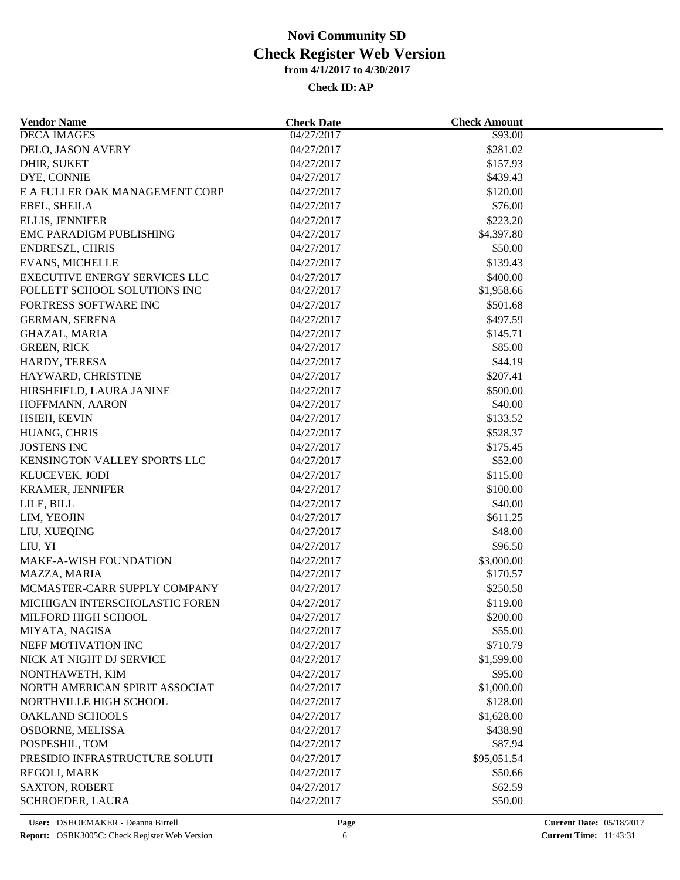| <b>Vendor Name</b>                   | <b>Check Date</b> | <b>Check Amount</b> |  |
|--------------------------------------|-------------------|---------------------|--|
| <b>DECA IMAGES</b>                   | 04/27/2017        | \$93.00             |  |
| DELO, JASON AVERY                    | 04/27/2017        | \$281.02            |  |
| DHIR, SUKET                          | 04/27/2017        | \$157.93            |  |
| DYE, CONNIE                          | 04/27/2017        | \$439.43            |  |
| E A FULLER OAK MANAGEMENT CORP       | 04/27/2017        | \$120.00            |  |
| EBEL, SHEILA                         | 04/27/2017        | \$76.00             |  |
| <b>ELLIS, JENNIFER</b>               | 04/27/2017        | \$223.20            |  |
| EMC PARADIGM PUBLISHING              | 04/27/2017        | \$4,397.80          |  |
| ENDRESZL, CHRIS                      | 04/27/2017        | \$50.00             |  |
| <b>EVANS, MICHELLE</b>               | 04/27/2017        | \$139.43            |  |
| <b>EXECUTIVE ENERGY SERVICES LLC</b> | 04/27/2017        | \$400.00            |  |
| FOLLETT SCHOOL SOLUTIONS INC         | 04/27/2017        | \$1,958.66          |  |
| FORTRESS SOFTWARE INC                | 04/27/2017        | \$501.68            |  |
| <b>GERMAN, SERENA</b>                | 04/27/2017        | \$497.59            |  |
| <b>GHAZAL, MARIA</b>                 | 04/27/2017        | \$145.71            |  |
| <b>GREEN, RICK</b>                   | 04/27/2017        | \$85.00             |  |
| HARDY, TERESA                        | 04/27/2017        | \$44.19             |  |
| HAYWARD, CHRISTINE                   | 04/27/2017        | \$207.41            |  |
| HIRSHFIELD, LAURA JANINE             | 04/27/2017        | \$500.00            |  |
| HOFFMANN, AARON                      | 04/27/2017        | \$40.00             |  |
| HSIEH, KEVIN                         | 04/27/2017        | \$133.52            |  |
| HUANG, CHRIS                         | 04/27/2017        | \$528.37            |  |
| <b>JOSTENS INC</b>                   | 04/27/2017        | \$175.45            |  |
| KENSINGTON VALLEY SPORTS LLC         | 04/27/2017        | \$52.00             |  |
| KLUCEVEK, JODI                       | 04/27/2017        | \$115.00            |  |
|                                      |                   | \$100.00            |  |
| <b>KRAMER, JENNIFER</b>              | 04/27/2017        |                     |  |
| LILE, BILL                           | 04/27/2017        | \$40.00             |  |
| LIM, YEOJIN                          | 04/27/2017        | \$611.25            |  |
| LIU, XUEQING                         | 04/27/2017        | \$48.00             |  |
| LIU, YI                              | 04/27/2017        | \$96.50             |  |
| MAKE-A-WISH FOUNDATION               | 04/27/2017        | \$3,000.00          |  |
| MAZZA, MARIA                         | 04/27/2017        | \$170.57            |  |
| MCMASTER-CARR SUPPLY COMPANY         | 04/27/2017        | \$250.58            |  |
| MICHIGAN INTERSCHOLASTIC FOREN       | 04/27/2017        | \$119.00            |  |
| MILFORD HIGH SCHOOL                  | 04/27/2017        | \$200.00            |  |
| MIYATA, NAGISA                       | 04/27/2017        | \$55.00             |  |
| NEFF MOTIVATION INC                  | 04/27/2017        | \$710.79            |  |
| NICK AT NIGHT DJ SERVICE             | 04/27/2017        | \$1,599.00          |  |
| NONTHAWETH, KIM                      | 04/27/2017        | \$95.00             |  |
| NORTH AMERICAN SPIRIT ASSOCIAT       | 04/27/2017        | \$1,000.00          |  |
| NORTHVILLE HIGH SCHOOL               | 04/27/2017        | \$128.00            |  |
| <b>OAKLAND SCHOOLS</b>               | 04/27/2017        | \$1,628.00          |  |
| OSBORNE, MELISSA                     | 04/27/2017        | \$438.98            |  |
| POSPESHIL, TOM                       | 04/27/2017        | \$87.94             |  |
| PRESIDIO INFRASTRUCTURE SOLUTI       | 04/27/2017        | \$95,051.54         |  |
| REGOLI, MARK                         | 04/27/2017        | \$50.66             |  |
| <b>SAXTON, ROBERT</b>                | 04/27/2017        | \$62.59             |  |
| SCHROEDER, LAURA                     | 04/27/2017        | \$50.00             |  |
|                                      |                   |                     |  |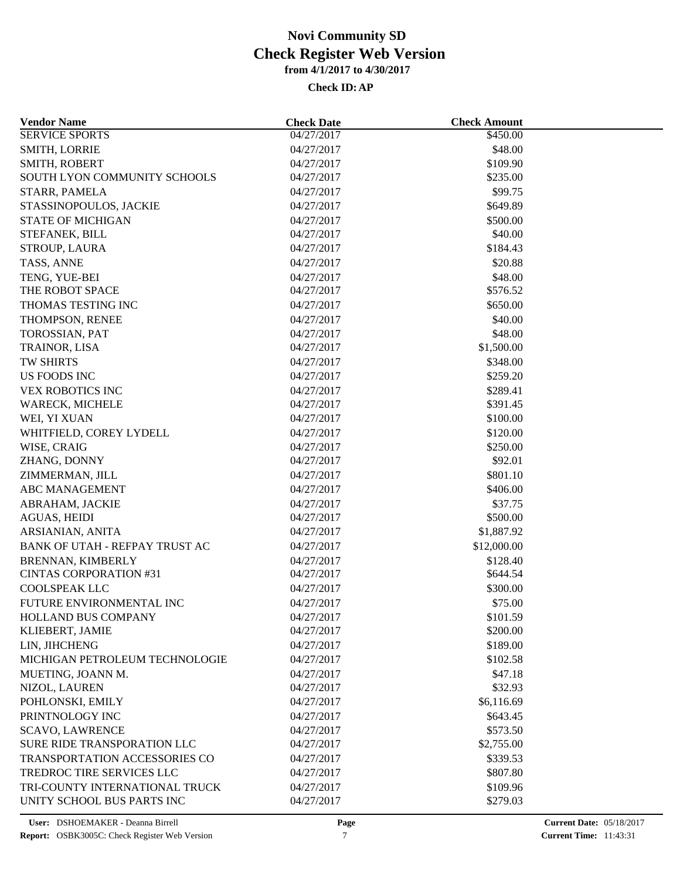| <b>Vendor Name</b>                     | <b>Check Date</b> | <b>Check Amount</b> |  |
|----------------------------------------|-------------------|---------------------|--|
| <b>SERVICE SPORTS</b>                  | 04/27/2017        | \$450.00            |  |
| SMITH, LORRIE                          | 04/27/2017        | \$48.00             |  |
| <b>SMITH, ROBERT</b>                   | 04/27/2017        | \$109.90            |  |
| SOUTH LYON COMMUNITY SCHOOLS           | 04/27/2017        | \$235.00            |  |
| STARR, PAMELA                          | 04/27/2017        | \$99.75             |  |
| STASSINOPOULOS, JACKIE                 | 04/27/2017        | \$649.89            |  |
| <b>STATE OF MICHIGAN</b>               | 04/27/2017        | \$500.00            |  |
| STEFANEK, BILL                         | 04/27/2017        | \$40.00             |  |
| STROUP, LAURA                          | 04/27/2017        | \$184.43            |  |
| TASS, ANNE                             | 04/27/2017        | \$20.88             |  |
| TENG, YUE-BEI                          | 04/27/2017        | \$48.00             |  |
| THE ROBOT SPACE                        | 04/27/2017        | \$576.52            |  |
| THOMAS TESTING INC                     | 04/27/2017        | \$650.00            |  |
| THOMPSON, RENEE                        | 04/27/2017        | \$40.00             |  |
| TOROSSIAN, PAT                         | 04/27/2017        | \$48.00             |  |
| TRAINOR, LISA                          | 04/27/2017        | \$1,500.00          |  |
| TW SHIRTS                              | 04/27/2017        | \$348.00            |  |
| <b>US FOODS INC</b>                    | 04/27/2017        | \$259.20            |  |
| <b>VEX ROBOTICS INC</b>                | 04/27/2017        | \$289.41            |  |
| <b>WARECK, MICHELE</b>                 | 04/27/2017        | \$391.45            |  |
| WEI, YI XUAN                           | 04/27/2017        | \$100.00            |  |
| WHITFIELD, COREY LYDELL                | 04/27/2017        | \$120.00            |  |
| WISE, CRAIG                            | 04/27/2017        | \$250.00            |  |
| ZHANG, DONNY                           | 04/27/2017        | \$92.01             |  |
| ZIMMERMAN, JILL                        | 04/27/2017        | \$801.10            |  |
| <b>ABC MANAGEMENT</b>                  | 04/27/2017        | \$406.00            |  |
|                                        | 04/27/2017        | \$37.75             |  |
| ABRAHAM, JACKIE<br><b>AGUAS, HEIDI</b> | 04/27/2017        | \$500.00            |  |
|                                        |                   |                     |  |
| ARSIANIAN, ANITA                       | 04/27/2017        | \$1,887.92          |  |
| <b>BANK OF UTAH - REFPAY TRUST AC</b>  | 04/27/2017        | \$12,000.00         |  |
| <b>BRENNAN, KIMBERLY</b>               | 04/27/2017        | \$128.40            |  |
| <b>CINTAS CORPORATION #31</b>          | 04/27/2017        | \$644.54            |  |
| <b>COOLSPEAK LLC</b>                   | 04/27/2017        | \$300.00            |  |
| FUTURE ENVIRONMENTAL INC               | 04/27/2017        | \$75.00             |  |
| HOLLAND BUS COMPANY                    | 04/27/2017        | \$101.59            |  |
| KLIEBERT, JAMIE                        | 04/27/2017        | \$200.00            |  |
| LIN, JIHCHENG                          | 04/27/2017        | \$189.00            |  |
| MICHIGAN PETROLEUM TECHNOLOGIE         | 04/27/2017        | \$102.58            |  |
| MUETING, JOANN M.                      | 04/27/2017        | \$47.18             |  |
| NIZOL, LAUREN                          | 04/27/2017        | \$32.93             |  |
| POHLONSKI, EMILY                       | 04/27/2017        | \$6,116.69          |  |
| PRINTNOLOGY INC                        | 04/27/2017        | \$643.45            |  |
| <b>SCAVO, LAWRENCE</b>                 | 04/27/2017        | \$573.50            |  |
| <b>SURE RIDE TRANSPORATION LLC</b>     | 04/27/2017        | \$2,755.00          |  |
| <b>TRANSPORTATION ACCESSORIES CO</b>   | 04/27/2017        | \$339.53            |  |
| TREDROC TIRE SERVICES LLC              | 04/27/2017        | \$807.80            |  |
| TRI-COUNTY INTERNATIONAL TRUCK         | 04/27/2017        | \$109.96            |  |
| UNITY SCHOOL BUS PARTS INC             | 04/27/2017        | \$279.03            |  |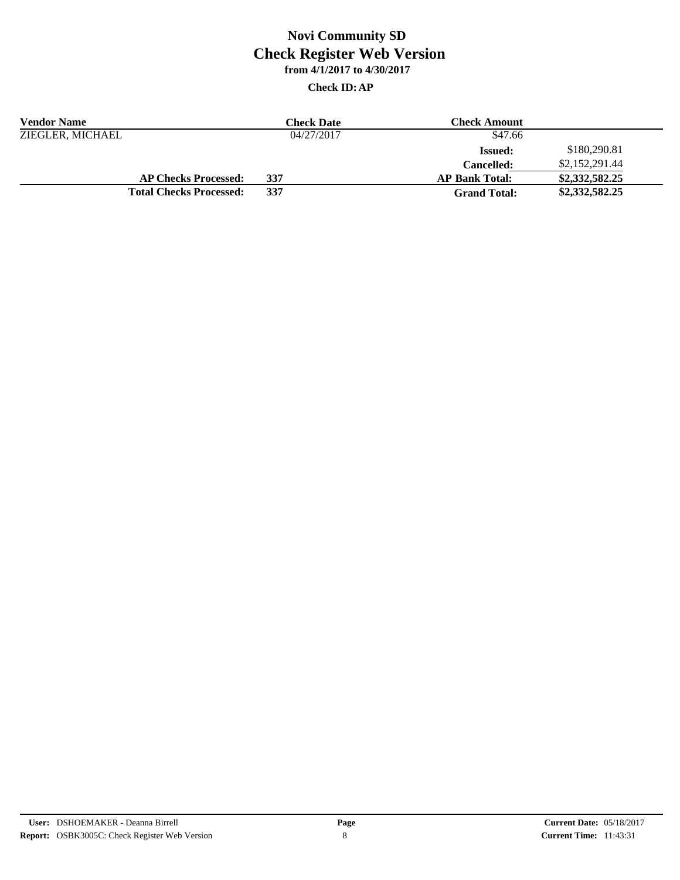| <b>Vendor Name</b> |                                | Check Date : | Check Amount          |                |
|--------------------|--------------------------------|--------------|-----------------------|----------------|
| ZIEGLER, MICHAEL   |                                | 04/27/2017   | \$47.66               |                |
|                    |                                |              | <b>Issued:</b>        | \$180,290.81   |
|                    |                                |              | <b>Cancelled:</b>     | \$2,152,291.44 |
|                    | <b>AP Checks Processed:</b>    | 337          | <b>AP Bank Total:</b> | \$2,332,582.25 |
|                    | <b>Total Checks Processed:</b> | 337          | <b>Grand Total:</b>   | \$2,332,582.25 |